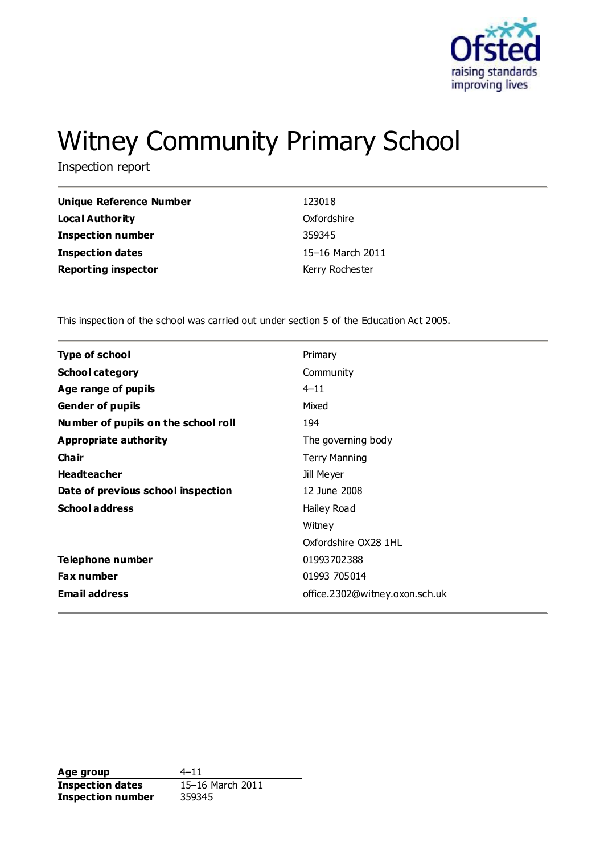

# Witney Community Primary School

Inspection report

| Unique Reference Number    | 123018           |
|----------------------------|------------------|
| Local Authority            | Oxfordshire      |
| <b>Inspection number</b>   | 359345           |
| Inspection dates           | 15-16 March 2011 |
| <b>Reporting inspector</b> | Kerry Rochester  |

This inspection of the school was carried out under section 5 of the Education Act 2005.

| <b>Type of school</b>               | Primary                        |
|-------------------------------------|--------------------------------|
| <b>School category</b>              | Community                      |
| Age range of pupils                 | $4 - 11$                       |
| <b>Gender of pupils</b>             | Mixed                          |
| Number of pupils on the school roll | 194                            |
| <b>Appropriate authority</b>        | The governing body             |
| Cha ir                              | <b>Terry Manning</b>           |
| <b>Headteacher</b>                  | Jill Meyer                     |
| Date of previous school inspection  | 12 June 2008                   |
| <b>School address</b>               | Hailey Road                    |
|                                     | Witney                         |
|                                     | Oxfordshire OX28 1HL           |
| Telephone number                    | 01993702388                    |
| <b>Fax number</b>                   | 01993 705014                   |
| <b>Email address</b>                | office.2302@witney.oxon.sch.uk |
|                                     |                                |

**Age group** 4–11<br> **Inspection dates** 15–16 March 2011 **Inspection dates Inspection number** 359345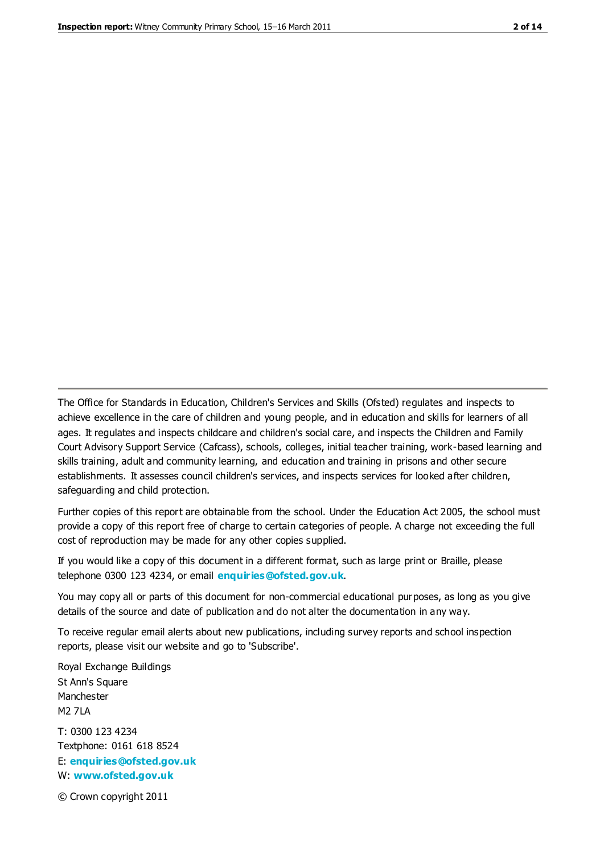The Office for Standards in Education, Children's Services and Skills (Ofsted) regulates and inspects to achieve excellence in the care of children and young people, and in education and skills for learners of all ages. It regulates and inspects childcare and children's social care, and inspects the Children and Family Court Advisory Support Service (Cafcass), schools, colleges, initial teacher training, work-based learning and skills training, adult and community learning, and education and training in prisons and other secure establishments. It assesses council children's services, and inspects services for looked after children, safeguarding and child protection.

Further copies of this report are obtainable from the school. Under the Education Act 2005, the school must provide a copy of this report free of charge to certain categories of people. A charge not exceeding the full cost of reproduction may be made for any other copies supplied.

If you would like a copy of this document in a different format, such as large print or Braille, please telephone 0300 123 4234, or email **[enquiries@ofsted.gov.uk](mailto:enquiries@ofsted.gov.uk)**.

You may copy all or parts of this document for non-commercial educational purposes, as long as you give details of the source and date of publication and do not alter the documentation in any way.

To receive regular email alerts about new publications, including survey reports and school inspection reports, please visit our website and go to 'Subscribe'.

Royal Exchange Buildings St Ann's Square Manchester M2 7LA T: 0300 123 4234 Textphone: 0161 618 8524 E: **[enquiries@ofsted.gov.uk](mailto:enquiries@ofsted.gov.uk)**

W: **[www.ofsted.gov.uk](http://www.ofsted.gov.uk/)**

© Crown copyright 2011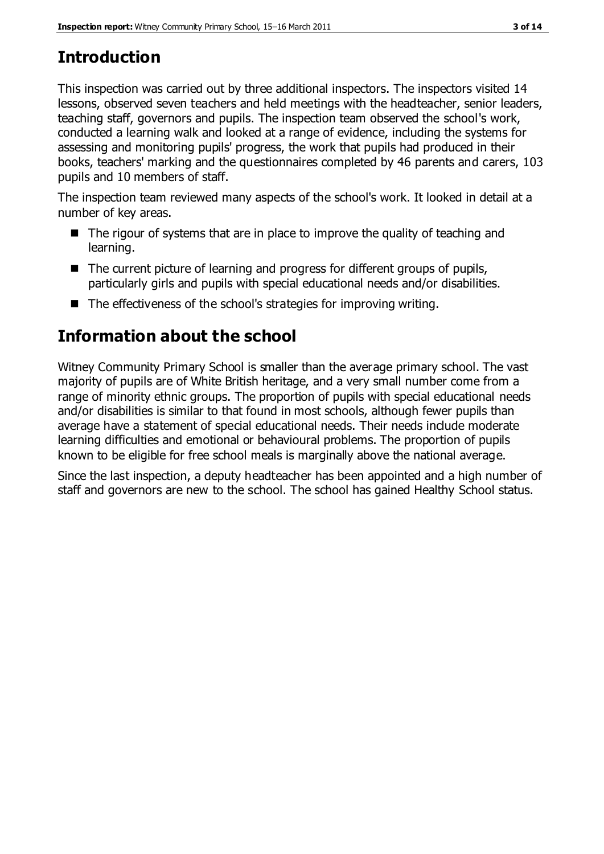# **Introduction**

This inspection was carried out by three additional inspectors. The inspectors visited 14 lessons, observed seven teachers and held meetings with the headteacher, senior leaders, teaching staff, governors and pupils. The inspection team observed the school's work, conducted a learning walk and looked at a range of evidence, including the systems for assessing and monitoring pupils' progress, the work that pupils had produced in their books, teachers' marking and the questionnaires completed by 46 parents and carers, 103 pupils and 10 members of staff.

The inspection team reviewed many aspects of the school's work. It looked in detail at a number of key areas.

- $\blacksquare$  The rigour of systems that are in place to improve the quality of teaching and learning.
- The current picture of learning and progress for different groups of pupils, particularly girls and pupils with special educational needs and/or disabilities.
- $\blacksquare$  The effectiveness of the school's strategies for improving writing.

# **Information about the school**

Witney Community Primary School is smaller than the average primary school. The vast majority of pupils are of White British heritage, and a very small number come from a range of minority ethnic groups. The proportion of pupils with special educational needs and/or disabilities is similar to that found in most schools, although fewer pupils than average have a statement of special educational needs. Their needs include moderate learning difficulties and emotional or behavioural problems. The proportion of pupils known to be eligible for free school meals is marginally above the national average.

Since the last inspection, a deputy headteacher has been appointed and a high number of staff and governors are new to the school. The school has gained Healthy School status.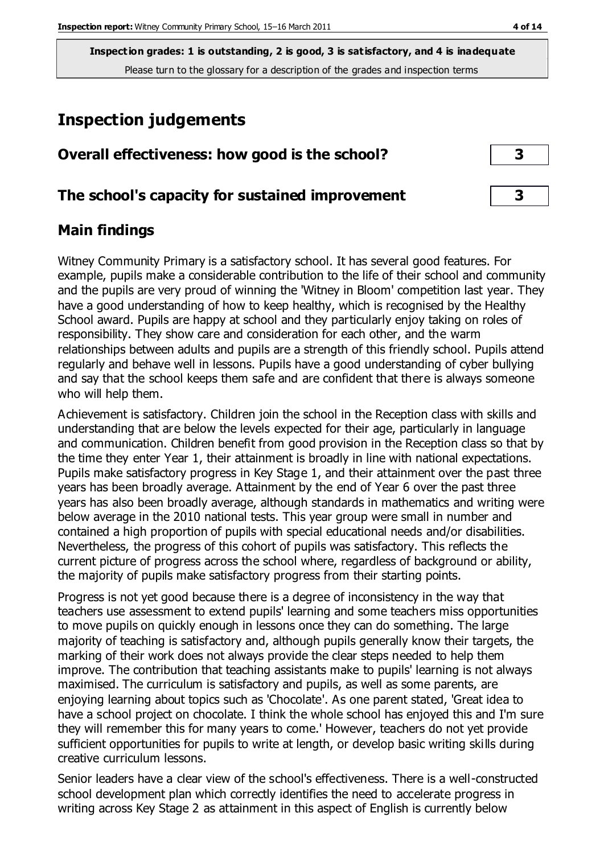## **Inspection judgements**

| Overall effectiveness: how good is the school?  |  |
|-------------------------------------------------|--|
| The school's capacity for sustained improvement |  |

### **Main findings**

Witney Community Primary is a satisfactory school. It has several good features. For example, pupils make a considerable contribution to the life of their school and community and the pupils are very proud of winning the 'Witney in Bloom' competition last year. They have a good understanding of how to keep healthy, which is recognised by the Healthy School award. Pupils are happy at school and they particularly enjoy taking on roles of responsibility. They show care and consideration for each other, and the warm relationships between adults and pupils are a strength of this friendly school. Pupils attend regularly and behave well in lessons. Pupils have a good understanding of cyber bullying and say that the school keeps them safe and are confident that there is always someone who will help them.

Achievement is satisfactory. Children join the school in the Reception class with skills and understanding that are below the levels expected for their age, particularly in language and communication. Children benefit from good provision in the Reception class so that by the time they enter Year 1, their attainment is broadly in line with national expectations. Pupils make satisfactory progress in Key Stage 1, and their attainment over the past three years has been broadly average. Attainment by the end of Year 6 over the past three years has also been broadly average, although standards in mathematics and writing were below average in the 2010 national tests. This year group were small in number and contained a high proportion of pupils with special educational needs and/or disabilities. Nevertheless, the progress of this cohort of pupils was satisfactory. This reflects the current picture of progress across the school where, regardless of background or ability, the majority of pupils make satisfactory progress from their starting points.

Progress is not yet good because there is a degree of inconsistency in the way that teachers use assessment to extend pupils' learning and some teachers miss opportunities to move pupils on quickly enough in lessons once they can do something. The large majority of teaching is satisfactory and, although pupils generally know their targets, the marking of their work does not always provide the clear steps needed to help them improve. The contribution that teaching assistants make to pupils' learning is not always maximised. The curriculum is satisfactory and pupils, as well as some parents, are enjoying learning about topics such as 'Chocolate'. As one parent stated, 'Great idea to have a school project on chocolate. I think the whole school has enjoyed this and I'm sure they will remember this for many years to come.' However, teachers do not yet provide sufficient opportunities for pupils to write at length, or develop basic writing skills during creative curriculum lessons.

Senior leaders have a clear view of the school's effectiveness. There is a well-constructed school development plan which correctly identifies the need to accelerate progress in writing across Key Stage 2 as attainment in this aspect of English is currently below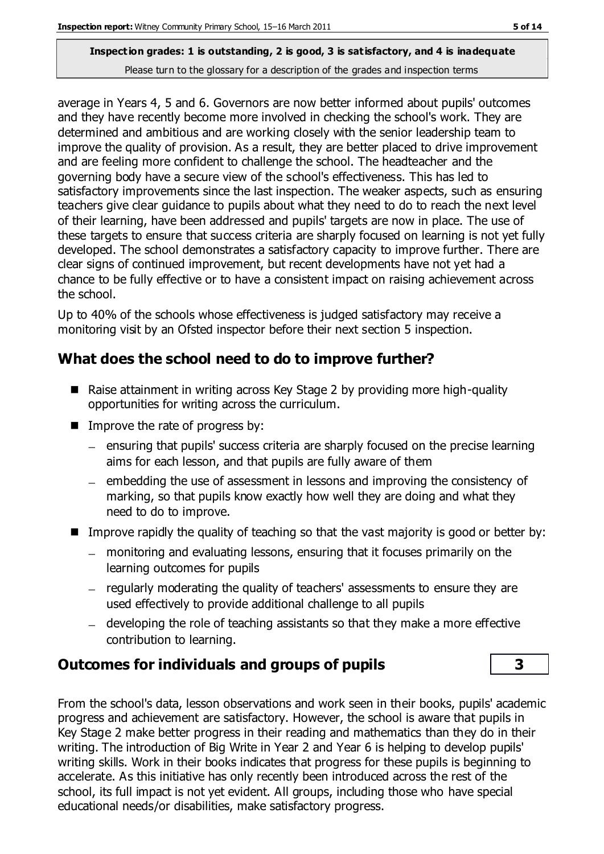average in Years 4, 5 and 6. Governors are now better informed about pupils' outcomes and they have recently become more involved in checking the school's work. They are determined and ambitious and are working closely with the senior leadership team to improve the quality of provision. As a result, they are better placed to drive improvement and are feeling more confident to challenge the school. The headteacher and the governing body have a secure view of the school's effectiveness. This has led to satisfactory improvements since the last inspection. The weaker aspects, such as ensuring teachers give clear guidance to pupils about what they need to do to reach the next level of their learning, have been addressed and pupils' targets are now in place. The use of these targets to ensure that success criteria are sharply focused on learning is not yet fully developed. The school demonstrates a satisfactory capacity to improve further. There are clear signs of continued improvement, but recent developments have not yet had a chance to be fully effective or to have a consistent impact on raising achievement across the school.

Up to 40% of the schools whose effectiveness is judged satisfactory may receive a monitoring visit by an Ofsted inspector before their next section 5 inspection.

## **What does the school need to do to improve further?**

- Raise attainment in writing across Key Stage 2 by providing more high-quality opportunities for writing across the curriculum.
- $\blacksquare$  Improve the rate of progress by:
	- $=$  ensuring that pupils' success criteria are sharply focused on the precise learning aims for each lesson, and that pupils are fully aware of them
	- embedding the use of assessment in lessons and improving the consistency of marking, so that pupils know exactly how well they are doing and what they need to do to improve.
- Improve rapidly the quality of teaching so that the vast majority is good or better by:
	- monitoring and evaluating lessons, ensuring that it focuses primarily on the learning outcomes for pupils
	- regularly moderating the quality of teachers' assessments to ensure they are used effectively to provide additional challenge to all pupils
	- developing the role of teaching assistants so that they make a more effective contribution to learning.

## **Outcomes for individuals and groups of pupils 3**

From the school's data, lesson observations and work seen in their books, pupils' academic progress and achievement are satisfactory. However, the school is aware that pupils in Key Stage 2 make better progress in their reading and mathematics than they do in their writing. The introduction of Big Write in Year 2 and Year 6 is helping to develop pupils' writing skills. Work in their books indicates that progress for these pupils is beginning to accelerate. As this initiative has only recently been introduced across the rest of the school, its full impact is not yet evident. All groups, including those who have special educational needs/or disabilities, make satisfactory progress.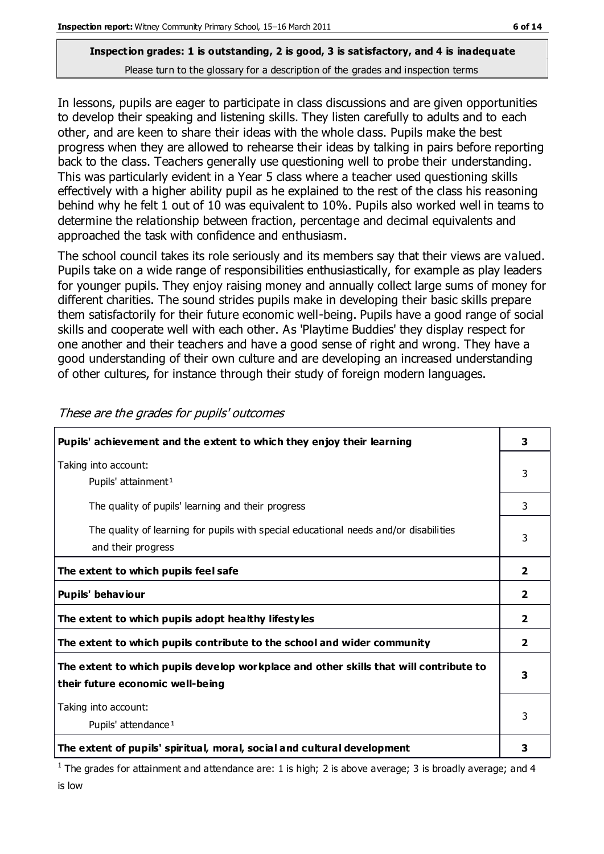In lessons, pupils are eager to participate in class discussions and are given opportunities to develop their speaking and listening skills. They listen carefully to adults and to each other, and are keen to share their ideas with the whole class. Pupils make the best progress when they are allowed to rehearse their ideas by talking in pairs before reporting back to the class. Teachers generally use questioning well to probe their understanding. This was particularly evident in a Year 5 class where a teacher used questioning skills effectively with a higher ability pupil as he explained to the rest of the class his reasoning behind why he felt 1 out of 10 was equivalent to 10%. Pupils also worked well in teams to determine the relationship between fraction, percentage and decimal equivalents and approached the task with confidence and enthusiasm.

The school council takes its role seriously and its members say that their views are valued. Pupils take on a wide range of responsibilities enthusiastically, for example as play leaders for younger pupils. They enjoy raising money and annually collect large sums of money for different charities. The sound strides pupils make in developing their basic skills prepare them satisfactorily for their future economic well-being. Pupils have a good range of social skills and cooperate well with each other. As 'Playtime Buddies' they display respect for one another and their teachers and have a good sense of right and wrong. They have a good understanding of their own culture and are developing an increased understanding of other cultures, for instance through their study of foreign modern languages.

| Pupils' achievement and the extent to which they enjoy their learning                                                     | 3                       |
|---------------------------------------------------------------------------------------------------------------------------|-------------------------|
| Taking into account:<br>Pupils' attainment <sup>1</sup>                                                                   | 3                       |
| The quality of pupils' learning and their progress                                                                        | 3                       |
| The quality of learning for pupils with special educational needs and/or disabilities<br>and their progress               | 3                       |
| The extent to which pupils feel safe                                                                                      | $\overline{\mathbf{2}}$ |
| Pupils' behaviour                                                                                                         | 2                       |
| The extent to which pupils adopt healthy lifestyles                                                                       | 2                       |
| The extent to which pupils contribute to the school and wider community                                                   | 2                       |
| The extent to which pupils develop workplace and other skills that will contribute to<br>their future economic well-being | 3                       |
| Taking into account:<br>Pupils' attendance <sup>1</sup>                                                                   | 3                       |
| The extent of pupils' spiritual, moral, social and cultural development                                                   | 3                       |

These are the grades for pupils' outcomes

<sup>1</sup> The grades for attainment and attendance are: 1 is high; 2 is above average; 3 is broadly average; and 4 is low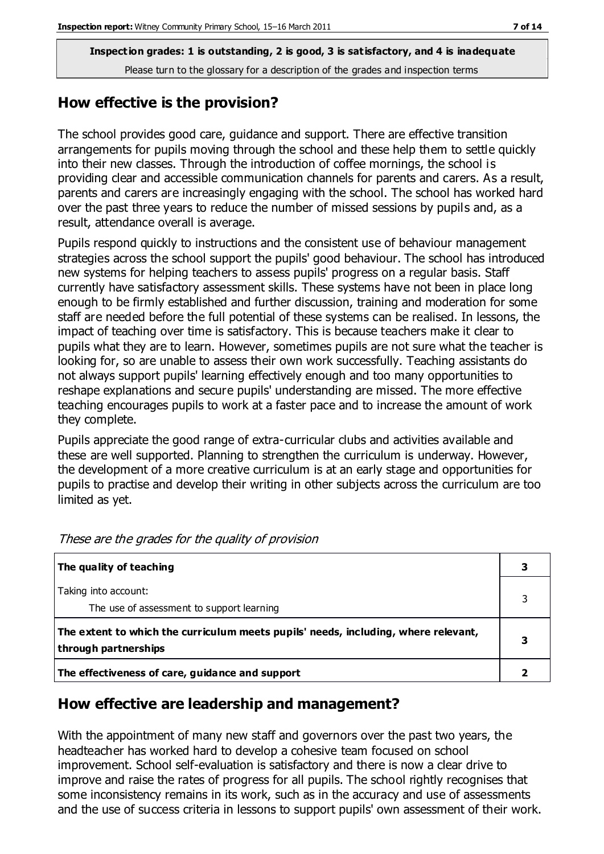#### **How effective is the provision?**

The school provides good care, guidance and support. There are effective transition arrangements for pupils moving through the school and these help them to settle quickly into their new classes. Through the introduction of coffee mornings, the school is providing clear and accessible communication channels for parents and carers. As a result, parents and carers are increasingly engaging with the school. The school has worked hard over the past three years to reduce the number of missed sessions by pupils and, as a result, attendance overall is average.

Pupils respond quickly to instructions and the consistent use of behaviour management strategies across the school support the pupils' good behaviour. The school has introduced new systems for helping teachers to assess pupils' progress on a regular basis. Staff currently have satisfactory assessment skills. These systems have not been in place long enough to be firmly established and further discussion, training and moderation for some staff are needed before the full potential of these systems can be realised. In lessons, the impact of teaching over time is satisfactory. This is because teachers make it clear to pupils what they are to learn. However, sometimes pupils are not sure what the teacher is looking for, so are unable to assess their own work successfully. Teaching assistants do not always support pupils' learning effectively enough and too many opportunities to reshape explanations and secure pupils' understanding are missed. The more effective teaching encourages pupils to work at a faster pace and to increase the amount of work they complete.

Pupils appreciate the good range of extra-curricular clubs and activities available and these are well supported. Planning to strengthen the curriculum is underway. However, the development of a more creative curriculum is at an early stage and opportunities for pupils to practise and develop their writing in other subjects across the curriculum are too limited as yet.

| The quality of teaching                                                                                    |   |
|------------------------------------------------------------------------------------------------------------|---|
| Taking into account:<br>The use of assessment to support learning                                          |   |
| The extent to which the curriculum meets pupils' needs, including, where relevant,<br>through partnerships | З |
| The effectiveness of care, guidance and support                                                            |   |

These are the grades for the quality of provision

#### **How effective are leadership and management?**

With the appointment of many new staff and governors over the past two years, the headteacher has worked hard to develop a cohesive team focused on school improvement. School self-evaluation is satisfactory and there is now a clear drive to improve and raise the rates of progress for all pupils. The school rightly recognises that some inconsistency remains in its work, such as in the accuracy and use of assessments and the use of success criteria in lessons to support pupils' own assessment of their work.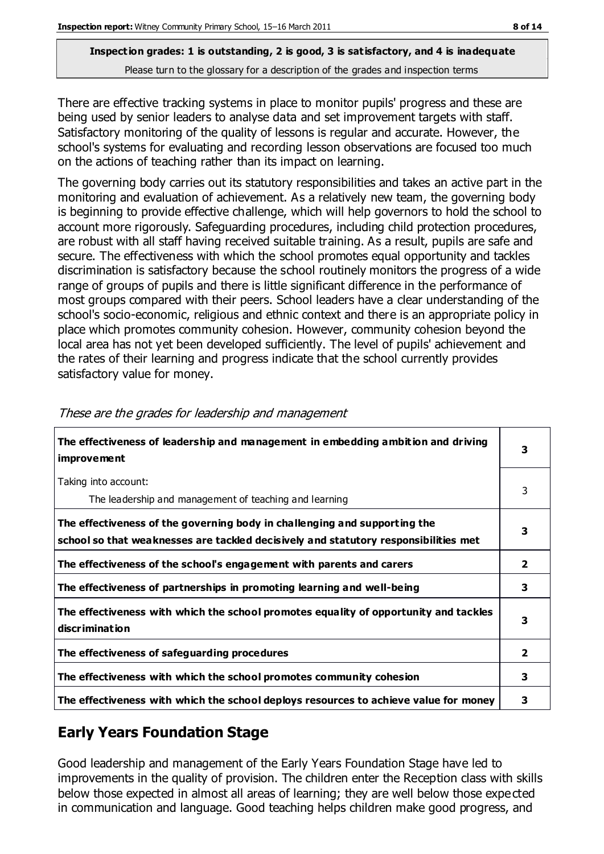There are effective tracking systems in place to monitor pupils' progress and these are being used by senior leaders to analyse data and set improvement targets with staff. Satisfactory monitoring of the quality of lessons is regular and accurate. However, the school's systems for evaluating and recording lesson observations are focused too much on the actions of teaching rather than its impact on learning.

The governing body carries out its statutory responsibilities and takes an active part in the monitoring and evaluation of achievement. As a relatively new team, the governing body is beginning to provide effective challenge, which will help governors to hold the school to account more rigorously. Safeguarding procedures, including child protection procedures, are robust with all staff having received suitable training. As a result, pupils are safe and secure. The effectiveness with which the school promotes equal opportunity and tackles discrimination is satisfactory because the school routinely monitors the progress of a wide range of groups of pupils and there is little significant difference in the performance of most groups compared with their peers. School leaders have a clear understanding of the school's socio-economic, religious and ethnic context and there is an appropriate policy in place which promotes community cohesion. However, community cohesion beyond the local area has not yet been developed sufficiently. The level of pupils' achievement and the rates of their learning and progress indicate that the school currently provides satisfactory value for money.

| The effectiveness of leadership and management in embedding ambition and driving<br><i>improvement</i>                                                           | 3            |
|------------------------------------------------------------------------------------------------------------------------------------------------------------------|--------------|
| Taking into account:<br>The leadership and management of teaching and learning                                                                                   | 3            |
| The effectiveness of the governing body in challenging and supporting the<br>school so that weaknesses are tackled decisively and statutory responsibilities met | 3            |
| The effectiveness of the school's engagement with parents and carers                                                                                             | $\mathbf{2}$ |
| The effectiveness of partnerships in promoting learning and well-being                                                                                           | 3            |
| The effectiveness with which the school promotes equality of opportunity and tackles<br>discrimination                                                           | 3            |
| The effectiveness of safeguarding procedures                                                                                                                     | 2            |
| The effectiveness with which the school promotes community cohesion                                                                                              | 3            |
| The effectiveness with which the school deploys resources to achieve value for money                                                                             | 3            |

These are the grades for leadership and management

## **Early Years Foundation Stage**

Good leadership and management of the Early Years Foundation Stage have led to improvements in the quality of provision. The children enter the Reception class with skills below those expected in almost all areas of learning; they are well below those expected in communication and language. Good teaching helps children make good progress, and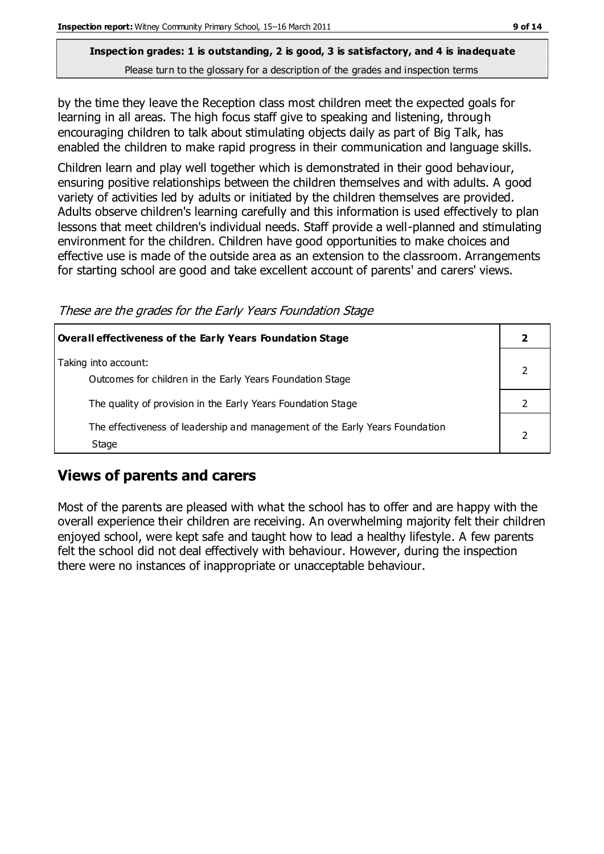by the time they leave the Reception class most children meet the expected goals for learning in all areas. The high focus staff give to speaking and listening, through encouraging children to talk about stimulating objects daily as part of Big Talk, has enabled the children to make rapid progress in their communication and language skills.

Children learn and play well together which is demonstrated in their good behaviour, ensuring positive relationships between the children themselves and with adults. A good variety of activities led by adults or initiated by the children themselves are provided. Adults observe children's learning carefully and this information is used effectively to plan lessons that meet children's individual needs. Staff provide a well-planned and stimulating environment for the children. Children have good opportunities to make choices and effective use is made of the outside area as an extension to the classroom. Arrangements for starting school are good and take excellent account of parents' and carers' views.

These are the grades for the Early Years Foundation Stage

| Overall effectiveness of the Early Years Foundation Stage                             |  |
|---------------------------------------------------------------------------------------|--|
| Taking into account:<br>Outcomes for children in the Early Years Foundation Stage     |  |
| The quality of provision in the Early Years Foundation Stage                          |  |
| The effectiveness of leadership and management of the Early Years Foundation<br>Stage |  |

## **Views of parents and carers**

Most of the parents are pleased with what the school has to offer and are happy with the overall experience their children are receiving. An overwhelming majority felt their children enjoyed school, were kept safe and taught how to lead a healthy lifestyle. A few parents felt the school did not deal effectively with behaviour. However, during the inspection there were no instances of inappropriate or unacceptable behaviour.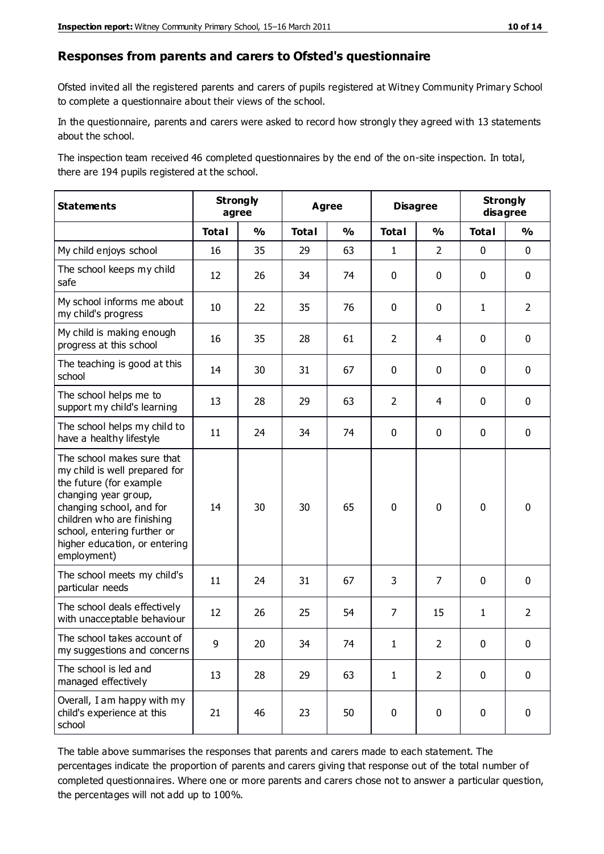#### **Responses from parents and carers to Ofsted's questionnaire**

Ofsted invited all the registered parents and carers of pupils registered at Witney Community Primary School to complete a questionnaire about their views of the school.

In the questionnaire, parents and carers were asked to record how strongly they agreed with 13 statements about the school.

The inspection team received 46 completed questionnaires by the end of the on-site inspection. In total, there are 194 pupils registered at the school.

| <b>Statements</b>                                                                                                                                                                                                                                       | <b>Strongly</b><br>agree |               | <b>Agree</b> |               |                | <b>Disagree</b> |              | <b>Strongly</b><br>disagree |  |
|---------------------------------------------------------------------------------------------------------------------------------------------------------------------------------------------------------------------------------------------------------|--------------------------|---------------|--------------|---------------|----------------|-----------------|--------------|-----------------------------|--|
|                                                                                                                                                                                                                                                         | <b>Total</b>             | $\frac{1}{2}$ | <b>Total</b> | $\frac{1}{2}$ | <b>Total</b>   | $\frac{1}{2}$   | <b>Total</b> | $\frac{1}{2}$               |  |
| My child enjoys school                                                                                                                                                                                                                                  | 16                       | 35            | 29           | 63            | $\mathbf{1}$   | $\overline{2}$  | $\mathbf 0$  | $\mathbf 0$                 |  |
| The school keeps my child<br>safe                                                                                                                                                                                                                       | 12                       | 26            | 34           | 74            | 0              | $\mathbf 0$     | $\mathbf 0$  | $\mathbf 0$                 |  |
| My school informs me about<br>my child's progress                                                                                                                                                                                                       | 10                       | 22            | 35           | 76            | 0              | $\mathbf{0}$    | $\mathbf{1}$ | $\overline{2}$              |  |
| My child is making enough<br>progress at this school                                                                                                                                                                                                    | 16                       | 35            | 28           | 61            | $\overline{2}$ | 4               | $\mathbf 0$  | $\mathbf 0$                 |  |
| The teaching is good at this<br>school                                                                                                                                                                                                                  | 14                       | 30            | 31           | 67            | 0              | $\mathbf 0$     | $\mathbf 0$  | $\mathbf 0$                 |  |
| The school helps me to<br>support my child's learning                                                                                                                                                                                                   | 13                       | 28            | 29           | 63            | $\overline{2}$ | 4               | $\mathbf 0$  | $\mathbf 0$                 |  |
| The school helps my child to<br>have a healthy lifestyle                                                                                                                                                                                                | 11                       | 24            | 34           | 74            | 0              | $\mathbf 0$     | $\mathbf 0$  | $\mathbf 0$                 |  |
| The school makes sure that<br>my child is well prepared for<br>the future (for example<br>changing year group,<br>changing school, and for<br>children who are finishing<br>school, entering further or<br>higher education, or entering<br>employment) | 14                       | 30            | 30           | 65            | $\mathbf 0$    | $\mathbf 0$     | $\mathbf 0$  | $\mathbf 0$                 |  |
| The school meets my child's<br>particular needs                                                                                                                                                                                                         | 11                       | 24            | 31           | 67            | 3              | 7               | $\mathbf 0$  | $\mathbf 0$                 |  |
| The school deals effectively<br>with unacceptable behaviour                                                                                                                                                                                             | 12                       | 26            | 25           | 54            | $\overline{7}$ | 15              | $\mathbf{1}$ | $\overline{2}$              |  |
| The school takes account of<br>my suggestions and concerns                                                                                                                                                                                              | 9                        | 20            | 34           | 74            | 1              | $\mathcal{P}$   | $\Omega$     | 0                           |  |
| The school is led and<br>managed effectively                                                                                                                                                                                                            | 13                       | 28            | 29           | 63            | $\mathbf{1}$   | $\overline{2}$  | $\mathbf 0$  | $\mathbf 0$                 |  |
| Overall, I am happy with my<br>child's experience at this<br>school                                                                                                                                                                                     | 21                       | 46            | 23           | 50            | $\pmb{0}$      | $\mathbf 0$     | $\mathbf 0$  | $\mathbf 0$                 |  |

The table above summarises the responses that parents and carers made to each statement. The percentages indicate the proportion of parents and carers giving that response out of the total number of completed questionnaires. Where one or more parents and carers chose not to answer a particular question, the percentages will not add up to 100%.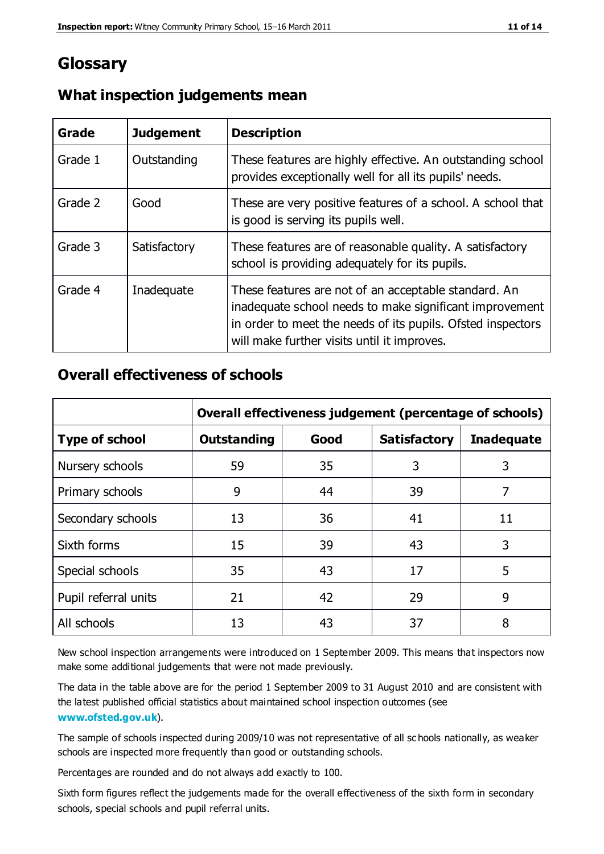## **Glossary**

| Grade   | <b>Judgement</b> | <b>Description</b>                                                                                                                                                                                                            |
|---------|------------------|-------------------------------------------------------------------------------------------------------------------------------------------------------------------------------------------------------------------------------|
| Grade 1 | Outstanding      | These features are highly effective. An outstanding school<br>provides exceptionally well for all its pupils' needs.                                                                                                          |
| Grade 2 | Good             | These are very positive features of a school. A school that<br>is good is serving its pupils well.                                                                                                                            |
| Grade 3 | Satisfactory     | These features are of reasonable quality. A satisfactory<br>school is providing adequately for its pupils.                                                                                                                    |
| Grade 4 | Inadequate       | These features are not of an acceptable standard. An<br>inadequate school needs to make significant improvement<br>in order to meet the needs of its pupils. Ofsted inspectors<br>will make further visits until it improves. |

#### **What inspection judgements mean**

### **Overall effectiveness of schools**

|                       | Overall effectiveness judgement (percentage of schools) |      |                     |                   |
|-----------------------|---------------------------------------------------------|------|---------------------|-------------------|
| <b>Type of school</b> | <b>Outstanding</b>                                      | Good | <b>Satisfactory</b> | <b>Inadequate</b> |
| Nursery schools       | 59                                                      | 35   | 3                   | 3                 |
| Primary schools       | 9                                                       | 44   | 39                  | 7                 |
| Secondary schools     | 13                                                      | 36   | 41                  | 11                |
| Sixth forms           | 15                                                      | 39   | 43                  | 3                 |
| Special schools       | 35                                                      | 43   | 17                  | 5                 |
| Pupil referral units  | 21                                                      | 42   | 29                  | 9                 |
| All schools           | 13                                                      | 43   | 37                  | 8                 |

New school inspection arrangements were introduced on 1 September 2009. This means that inspectors now make some additional judgements that were not made previously.

The data in the table above are for the period 1 September 2009 to 31 August 2010 and are consistent with the latest published official statistics about maintained school inspection outcomes (see **[www.ofsted.gov.uk](http://www.ofsted.gov.uk/)**).

The sample of schools inspected during 2009/10 was not representative of all sc hools nationally, as weaker schools are inspected more frequently than good or outstanding schools.

Percentages are rounded and do not always add exactly to 100.

Sixth form figures reflect the judgements made for the overall effectiveness of the sixth form in secondary schools, special schools and pupil referral units.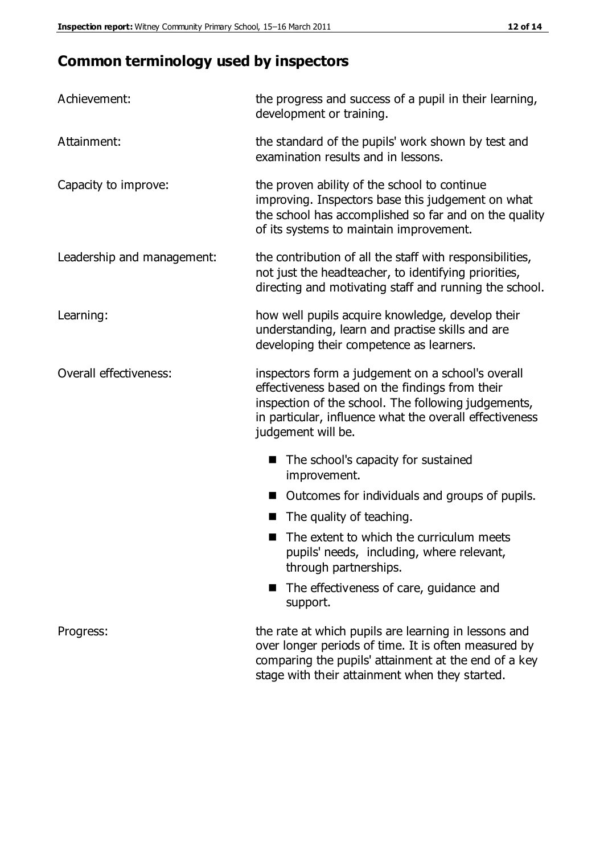# **Common terminology used by inspectors**

| Achievement:               | the progress and success of a pupil in their learning,<br>development or training.                                                                                                                                                          |
|----------------------------|---------------------------------------------------------------------------------------------------------------------------------------------------------------------------------------------------------------------------------------------|
| Attainment:                | the standard of the pupils' work shown by test and<br>examination results and in lessons.                                                                                                                                                   |
| Capacity to improve:       | the proven ability of the school to continue<br>improving. Inspectors base this judgement on what<br>the school has accomplished so far and on the quality<br>of its systems to maintain improvement.                                       |
| Leadership and management: | the contribution of all the staff with responsibilities,<br>not just the headteacher, to identifying priorities,<br>directing and motivating staff and running the school.                                                                  |
| Learning:                  | how well pupils acquire knowledge, develop their<br>understanding, learn and practise skills and are<br>developing their competence as learners.                                                                                            |
| Overall effectiveness:     | inspectors form a judgement on a school's overall<br>effectiveness based on the findings from their<br>inspection of the school. The following judgements,<br>in particular, influence what the overall effectiveness<br>judgement will be. |
|                            | The school's capacity for sustained<br>improvement.                                                                                                                                                                                         |
|                            | Outcomes for individuals and groups of pupils.                                                                                                                                                                                              |
|                            | The quality of teaching.                                                                                                                                                                                                                    |
|                            | The extent to which the curriculum meets<br>pupils' needs, including, where relevant,<br>through partnerships.                                                                                                                              |
|                            | The effectiveness of care, guidance and<br>support.                                                                                                                                                                                         |
| Progress:                  | the rate at which pupils are learning in lessons and<br>over longer periods of time. It is often measured by<br>comparing the pupils' attainment at the end of a key                                                                        |

stage with their attainment when they started.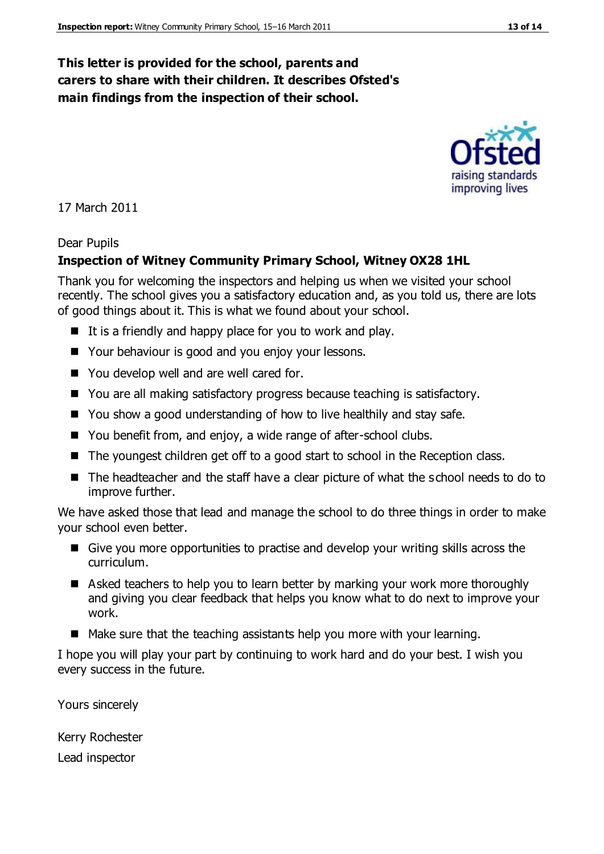#### **This letter is provided for the school, parents and carers to share with their children. It describes Ofsted's main findings from the inspection of their school.**

#### 17 March 2011

#### Dear Pupils

#### **Inspection of Witney Community Primary School, Witney OX28 1HL**

Thank you for welcoming the inspectors and helping us when we visited your school recently. The school gives you a satisfactory education and, as you told us, there are lots of good things about it. This is what we found about your school.

- $\blacksquare$  It is a friendly and happy place for you to work and play.
- Your behaviour is good and you enjoy your lessons.
- You develop well and are well cared for.
- You are all making satisfactory progress because teaching is satisfactory.
- You show a good understanding of how to live healthily and stay safe.
- You benefit from, and enjoy, a wide range of after-school clubs.
- The youngest children get off to a good start to school in the Reception class.
- The headteacher and the staff have a clear picture of what the school needs to do to improve further.

We have asked those that lead and manage the school to do three things in order to make your school even better.

- Give you more opportunities to practise and develop your writing skills across the curriculum.
- Asked teachers to help you to learn better by marking your work more thoroughly and giving you clear feedback that helps you know what to do next to improve your work.
- $\blacksquare$  Make sure that the teaching assistants help you more with your learning.

I hope you will play your part by continuing to work hard and do your best. I wish you every success in the future.

Yours sincerely

Kerry Rochester

Lead inspector